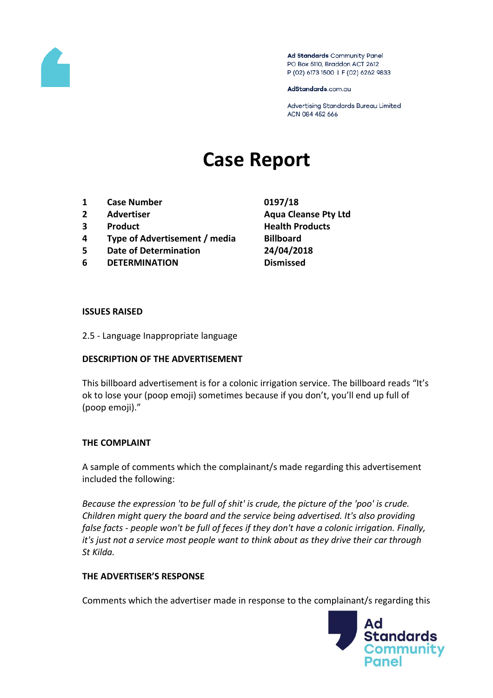

Ad Standards Community Panel PO Box 5110, Braddon ACT 2612 P (02) 6173 1500 | F (02) 6262 9833

AdStandards.com.au

Advertising Standards Bureau Limited ACN 084 452 666

# **Case Report**

- **1 Case Number 0197/18**
- 
- 
- **4 Type of Advertisement / media Billboard**
- **5 Date of Determination 24/04/2018**
- **6 DETERMINATION Dismissed**
- **2 Advertiser Aqua Cleanse Pty Ltd 3 Product Health Products**

#### **ISSUES RAISED**

2.5 - Language Inappropriate language

### **DESCRIPTION OF THE ADVERTISEMENT**

This billboard advertisement is for a colonic irrigation service. The billboard reads "It's ok to lose your (poop emoji) sometimes because if you don't, you'll end up full of (poop emoji)."

### **THE COMPLAINT**

A sample of comments which the complainant/s made regarding this advertisement included the following:

*Because the expression 'to be full of shit' is crude, the picture of the 'poo' is crude. Children might query the board and the service being advertised. It's also providing false facts - people won't be full of feces if they don't have a colonic irrigation. Finally, it's just not a service most people want to think about as they drive their car through St Kilda.*

### **THE ADVERTISER'S RESPONSE**

Comments which the advertiser made in response to the complainant/s regarding this

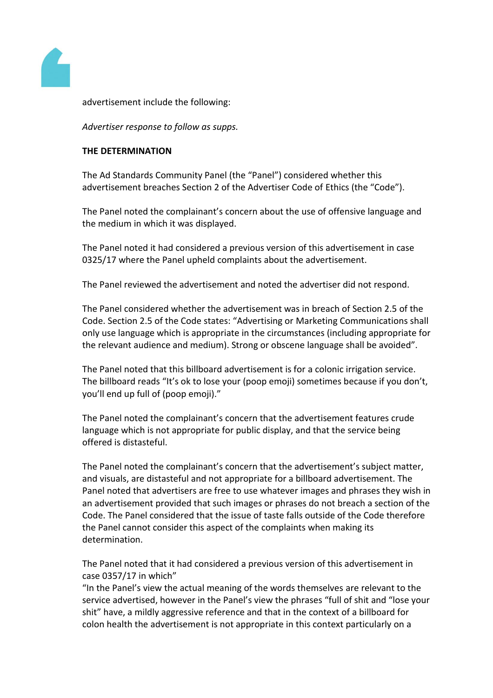

advertisement include the following:

*Advertiser response to follow as supps.*

## **THE DETERMINATION**

The Ad Standards Community Panel (the "Panel") considered whether this advertisement breaches Section 2 of the Advertiser Code of Ethics (the "Code").

The Panel noted the complainant's concern about the use of offensive language and the medium in which it was displayed.

The Panel noted it had considered a previous version of this advertisement in case 0325/17 where the Panel upheld complaints about the advertisement.

The Panel reviewed the advertisement and noted the advertiser did not respond.

The Panel considered whether the advertisement was in breach of Section 2.5 of the Code. Section 2.5 of the Code states: "Advertising or Marketing Communications shall only use language which is appropriate in the circumstances (including appropriate for the relevant audience and medium). Strong or obscene language shall be avoided".

The Panel noted that this billboard advertisement is for a colonic irrigation service. The billboard reads "It's ok to lose your (poop emoji) sometimes because if you don't, you'll end up full of (poop emoji)."

The Panel noted the complainant's concern that the advertisement features crude language which is not appropriate for public display, and that the service being offered is distasteful.

The Panel noted the complainant's concern that the advertisement's subject matter, and visuals, are distasteful and not appropriate for a billboard advertisement. The Panel noted that advertisers are free to use whatever images and phrases they wish in an advertisement provided that such images or phrases do not breach a section of the Code. The Panel considered that the issue of taste falls outside of the Code therefore the Panel cannot consider this aspect of the complaints when making its determination.

The Panel noted that it had considered a previous version of this advertisement in case 0357/17 in which"

"In the Panel's view the actual meaning of the words themselves are relevant to the service advertised, however in the Panel's view the phrases "full of shit and "lose your shit" have, a mildly aggressive reference and that in the context of a billboard for colon health the advertisement is not appropriate in this context particularly on a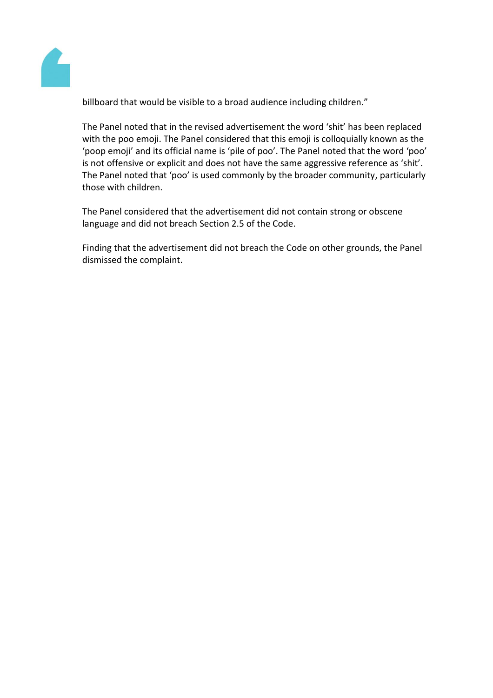

billboard that would be visible to a broad audience including children."

The Panel noted that in the revised advertisement the word 'shit' has been replaced with the poo emoji. The Panel considered that this emoji is colloquially known as the 'poop emoji' and its official name is 'pile of poo'. The Panel noted that the word 'poo' is not offensive or explicit and does not have the same aggressive reference as 'shit'. The Panel noted that 'poo' is used commonly by the broader community, particularly those with children.

The Panel considered that the advertisement did not contain strong or obscene language and did not breach Section 2.5 of the Code.

Finding that the advertisement did not breach the Code on other grounds, the Panel dismissed the complaint.